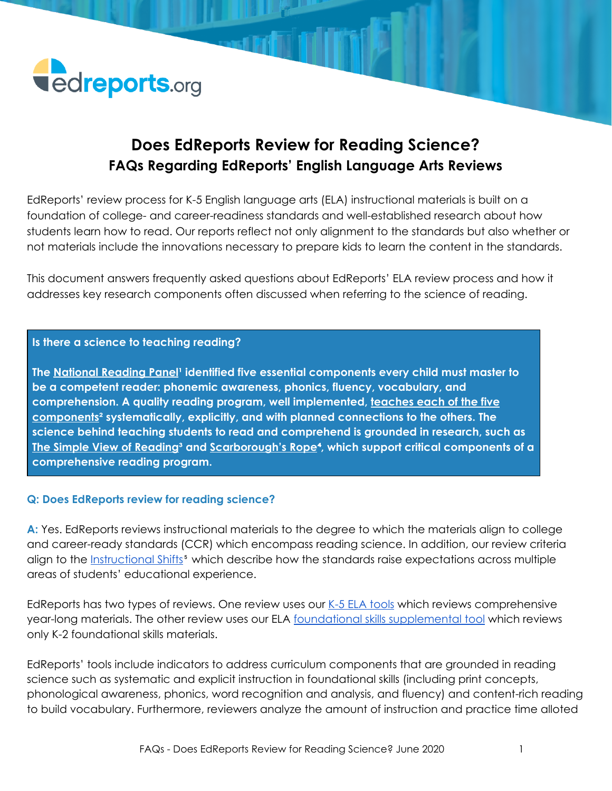

### **Does EdReports Review for Reading Science? FAQs Regarding EdReports' English Language Arts Reviews**

EdReports' review process for K-5 English language arts (ELA) instructional materials is built on a foundation of college- and career-readiness standards and well-established research about how students learn how to read. Our reports reflect not only alignment to the standards but also whether or not materials include the innovations necessary to prepare kids to learn the content in the standards.

This document answers frequently asked questions about EdReports' ELA review process and how it addresses key research components often discussed when referring to the science of reading.

#### **Is there a science to teaching reading?**

**Ihe [National](https://www.nichd.nih.gov/publications/pubs/nrp/findings) Reading Panel**<sup>1</sup> identified five essential components every child must master to **be a competent reader: phonemic awareness, phonics, fluency, vocabulary, and comprehension. A quality reading program, well implemented, [teaches](https://files.eric.ed.gov/fulltext/ED498005.pdf) each of the five [components](https://files.eric.ed.gov/fulltext/ED498005.pdf)² systematically, explicitly, and with planned connections to the others. The science behind teaching students to read and comprehend is grounded in research, such as The Simple View of [Reading](http://citeseerx.ist.psu.edu/viewdoc/download?doi=10.1.1.905.7606&rep=rep1&type=pdf)³ and [Scarborough's](https://johnbald.typepad.com/files/handbookearlylit.pdf) Rope**⁴**, which support critical components of a comprehensive reading program.**

#### **Q: Does EdReports review for reading science?**

**A:** Yes. EdReports reviews instructional materials to the degree to which the materials align to college and career-ready standards (CCR) which encompass reading science. In addition, our review criteria align to the **[Instructional](https://achievethecore.org/category/419/the-shifts) Shifts**<sup>5</sup> which describe how the standards raise expectations across multiple areas of students' educational experience.

EdReports has two types of reviews. One review uses our K-5 ELA [tools](https://www.edreports.org/reports/rubrics-evidence) which reviews comprehensive year-long materials. The other review uses our ELA foundational skills [supplemental](https://www.edreports.org/reports/rubrics-evidence) tool which reviews only K-2 foundational skills materials.

EdReports' tools include indicators to address curriculum components that are grounded in reading science such as systematic and explicit instruction in foundational skills (including print concepts, phonological awareness, phonics, word recognition and analysis, and fluency) and content-rich reading to build vocabulary. Furthermore, reviewers analyze the amount of instruction and practice time alloted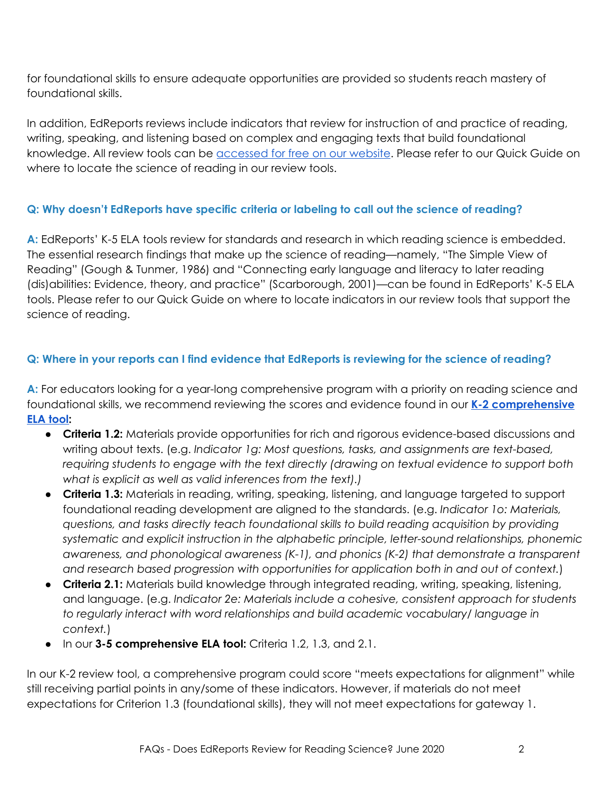for foundational skills to ensure adequate opportunities are provided so students reach mastery of foundational skills.

In addition, EdReports reviews include indicators that review for instruction of and practice of reading, writing, speaking, and listening based on complex and engaging texts that build foundational knowledge. All review tools can be **[accessed](https://www.edreports.org/reports/rubrics-evidence) for free on our website**. Please refer to our Quick Guide on where to locate the science of reading in our review tools.

#### **Q: Why doesn't EdReports have specific criteria or labeling to call out the science of reading?**

**A:** EdReports' K-5 ELA tools review for standards and research in which reading science is embedded. The essential research findings that make up the science of reading—namely, "The Simple View of Reading" (Gough & Tunmer, 1986) and "Connecting early language and literacy to later reading (dis)abilities: Evidence, theory, and practice" (Scarborough, 2001)—can be found in EdReports' K-5 ELA tools. Please refer to our Quick Guide on where to locate indicators in our review tools that support the science of reading.

#### Q: Where in your reports can I find evidence that EdReports is reviewing for the science of reading?

**A:** For educators looking for a year-long comprehensive program with a priority on reading science and foundational skills, we recommend reviewing the scores and evidence found in our **K-2 [comprehensive](https://www.edreports.org/reports/rubrics-evidence) ELA [tool:](https://www.edreports.org/reports/rubrics-evidence)**

- **Criteria 1.2:** Materials provide opportunities for rich and rigorous evidence-based discussions and writing about texts. (e.g. *Indicator 1g: Most questions, tasks, and assignments are text-based, requiring students to engage with the text directly (drawing on textual evidence to support both what is explicit as well as valid inferences from the text).)*
- **Criteria 1.3:** Materials in reading, writing, speaking, listening, and language targeted to support foundational reading development are aligned to the standards. (e.g. *Indicator 1o: Materials, questions, and tasks directly teach foundational skills to build reading acquisition by providing systematic and explicit instruction in the alphabetic principle, letter-sound relationships, phonemic awareness, and phonological awareness (K-1), and phonics (K-2) that demonstrate a transparent and research based progression with opportunities for application both in and out of context.*)
- **Criteria 2.1:** Materials build knowledge through integrated reading, writing, speaking, listening, and language. (e.g. *Indicator 2e: Materials include a cohesive, consistent approach for students to regularly interact with word relationships and build academic vocabulary/ language in context.*)
- In our **3-5 comprehensive ELA tool:** Criteria 1.2, 1.3, and 2.1.

In our K-2 review tool, a comprehensive program could score "meets expectations for alignment" while still receiving partial points in any/some of these indicators. However, if materials do not meet expectations for Criterion 1.3 (foundational skills), they will not meet expectations for gateway 1.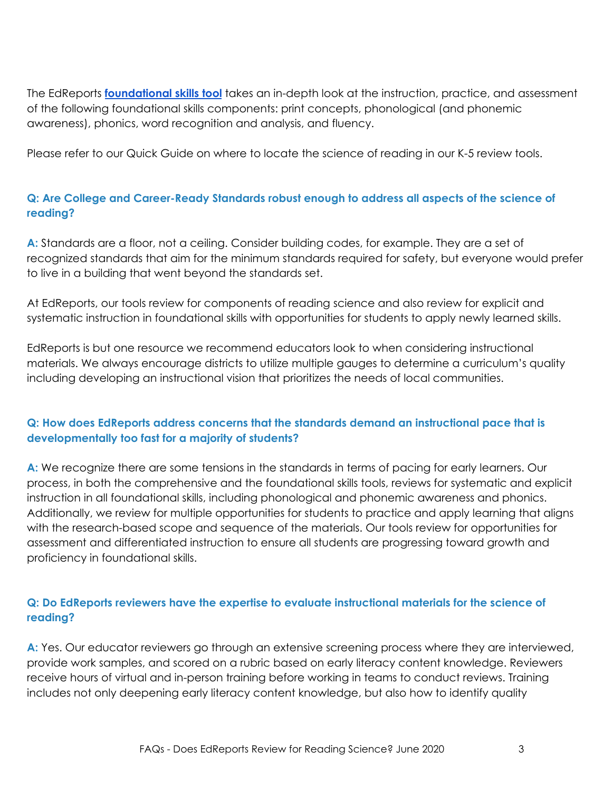The EdReports **[foundational](https://www.edreports.org/reports/rubrics-evidence) skills tool** takes an in-depth look at the instruction, practice, and assessment of the following foundational skills components: print concepts, phonological (and phonemic awareness), phonics, word recognition and analysis, and fluency.

Please refer to our Quick Guide on where to locate the science of reading in our K-5 review tools.

#### **Q: Are College and Career-Ready Standards robust enough to address all aspects of the science of reading?**

**A:** Standards are a floor, not a ceiling. Consider building codes, for example. They are a set of recognized standards that aim for the minimum standards required for safety, but everyone would prefer to live in a building that went beyond the standards set.

At EdReports, our tools review for components of reading science and also review for explicit and systematic instruction in foundational skills with opportunities for students to apply newly learned skills.

EdReports is but one resource we recommend educators look to when considering instructional materials. We always encourage districts to utilize multiple gauges to determine a curriculum's quality including developing an instructional vision that prioritizes the needs of local communities.

#### **Q: How does EdReports address concerns that the standards demand an instructional pace that is developmentally too fast for a majority of students?**

**A:** We recognize there are some tensions in the standards in terms of pacing for early learners. Our process, in both the comprehensive and the foundational skills tools, reviews for systematic and explicit instruction in all foundational skills, including phonological and phonemic awareness and phonics. Additionally, we review for multiple opportunities for students to practice and apply learning that aligns with the research-based scope and sequence of the materials. Our tools review for opportunities for assessment and differentiated instruction to ensure all students are progressing toward growth and proficiency in foundational skills.

#### **Q: Do EdReports reviewers have the expertise to evaluate instructional materials for the science of reading?**

A: Yes. Our educator reviewers go through an extensive screening process where they are interviewed, provide work samples, and scored on a rubric based on early literacy content knowledge. Reviewers receive hours of virtual and in-person training before working in teams to conduct reviews. Training includes not only deepening early literacy content knowledge, but also how to identify quality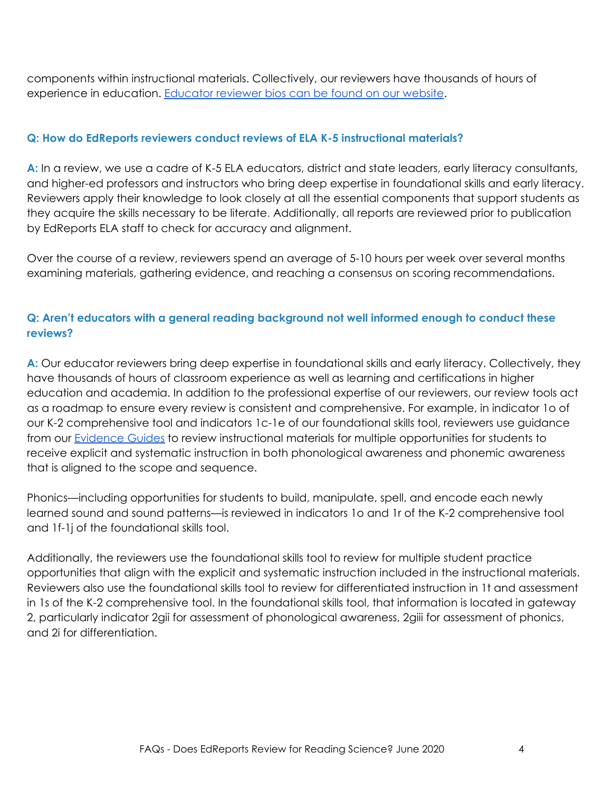components within instructional materials. Collectively, our reviewers have thousands of hours of experience in education. [Educator](https://edreports.org/about/staff) reviewer bios can be found on our website.

#### **Q: How do EdReports reviewers conduct reviews of ELA K-5 instructional materials?**

**A:** In a review, we use a cadre of K-5 ELA educators, district and state leaders, early literacy consultants, and higher-ed professors and instructors who bring deep expertise in foundational skills and early literacy. Reviewers apply their knowledge to look closely at all the essential components that support students as they acquire the skills necessary to be literate. Additionally, all reports are reviewed prior to publication by EdReports ELA staff to check for accuracy and alignment.

Over the course of a review, reviewers spend an average of 5-10 hours per week over several months examining materials, gathering evidence, and reaching a consensus on scoring recommendations.

#### **Q: Aren't educators with a general reading background not well informed enough to conduct these reviews?**

**A:** Our educator reviewers bring deep expertise in foundational skills and early literacy. Collectively, they have thousands of hours of classroom experience as well as learning and certifications in higher education and academia. In addition to the professional expertise of our reviewers, our review tools act as a roadmap to ensure every review is consistent and comprehensive. For example, in indicator 1o of our K-2 comprehensive tool and indicators 1c-1e of our foundational skills tool, reviewers use guidance from our **[Evidence](https://www.edreports.org/reports/rubrics-evidence) Guides** to review instructional materials for multiple opportunities for students to receive explicit and systematic instruction in both phonological awareness and phonemic awareness that is aligned to the scope and sequence.

Phonics—including opportunities for students to build, manipulate, spell, and encode each newly learned sound and sound patterns—is reviewed in indicators 1o and 1r of the K-2 comprehensive tool and 1f-1j of the foundational skills tool.

Additionally, the reviewers use the foundational skills tool to review for multiple student practice opportunities that align with the explicit and systematic instruction included in the instructional materials. Reviewers also use the foundational skills tool to review for differentiated instruction in 1t and assessment in 1s of the K-2 comprehensive tool. In the foundational skills tool, that information is located in gateway 2, particularly indicator 2gii for assessment of phonological awareness, 2giii for assessment of phonics, and 2i for differentiation.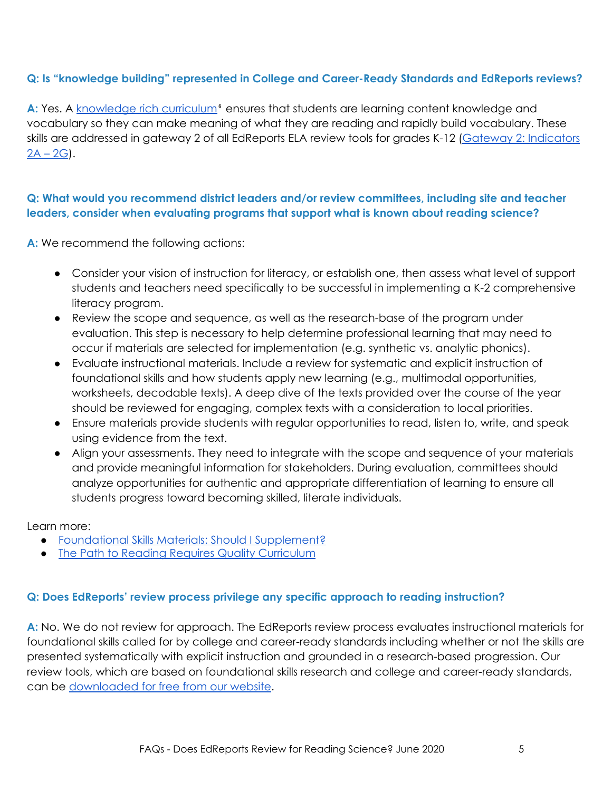#### **Q: Is "knowledge building" represented in College and Career-Ready Standards and EdReports reviews?**

A: Yes. A [knowledge](https://www.aft.org/periodical/american-educator/spring-2006/building-knowledge) rich curriculum<sup>®</sup> ensures that students are learning content knowledge and vocabulary so they can make meaning of what they are reading and rapidly build vocabulary. These skills are addressed in gateway 2 of all EdReports ELA review tools for grades K-12 (Gateway 2: [Indicators](https://www.edreports.org/reports/rubrics-evidence)  $2A - 2G$  $2A - 2G$ .

#### **Q: What would you recommend district leaders and/or review committees, including site and teacher leaders, consider when evaluating programs that support what is known about reading science?**

**A:** We recommend the following actions:

- Consider your vision of instruction for literacy, or establish one, then assess what level of support students and teachers need specifically to be successful in implementing a K-2 comprehensive literacy program.
- Review the scope and sequence, as well as the research-base of the program under evaluation. This step is necessary to help determine professional learning that may need to occur if materials are selected for implementation (e.g. synthetic vs. analytic phonics).
- Evaluate instructional materials. Include a review for systematic and explicit instruction of foundational skills and how students apply new learning (e.g., multimodal opportunities, worksheets, decodable texts). A deep dive of the texts provided over the course of the year should be reviewed for engaging, complex texts with a consideration to local priorities.
- Ensure materials provide students with regular opportunities to read, listen to, write, and speak using evidence from the text.
- Align your assessments. They need to integrate with the scope and sequence of your materials and provide meaningful information for stakeholders. During evaluation, committees should analyze opportunities for authentic and appropriate differentiation of learning to ensure all students progress toward becoming skilled, literate individuals.

Learn more:

- Foundational Skills Materials: Should I [Supplement?](https://www.edreports.org/resources/article/foundational-skills-materials-should-i-supplement)
- The Path to Reading Requires Quality [Curriculum](https://www.edreports.org/resources/article/the-path-to-reading-requires-quality-curriculum)

#### **Q: Does EdReports' review process privilege any specific approach to reading instruction?**

**A:** No. We do not review for approach. The EdReports review process evaluates instructional materials for foundational skills called for by college and career-ready standards including whether or not the skills are presented systematically with explicit instruction and grounded in a research-based progression. Our review tools, which are based on foundational skills research and college and career-ready standards, can be [downloaded](https://www.edreports.org/reports/rubrics-evidence) for free from our website.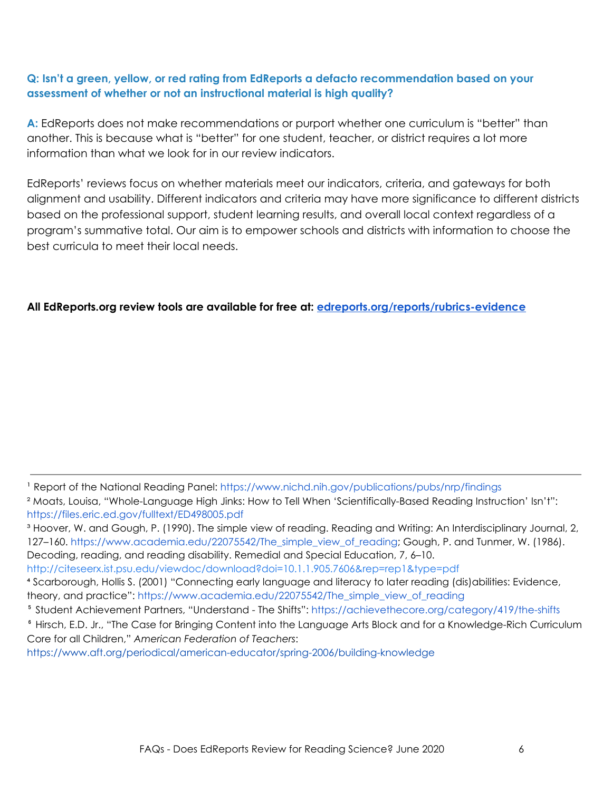#### **Q: Isn't a green, yellow, or red rating from EdReports a defacto recommendation based on your assessment of whether or not an instructional material is high quality?**

**A:** EdReports does not make recommendations or purport whether one curriculum is "better" than another. This is because what is "better" for one student, teacher, or district requires a lot more information than what we look for in our review indicators.

EdReports' reviews focus on whether materials meet our indicators, criteria, and gateways for both alignment and usability. Different indicators and criteria may have more significance to different districts based on the professional support, student learning results, and overall local context regardless of a program's summative total. Our aim is to empower schools and districts with information to choose the best curricula to meet their local needs.

#### **All EdReports.org review tools are available for free at: [edreports.org/reports/rubrics-evidence](https://edreports.org/reports/rubrics-evidence)**

<sup>&</sup>lt;sup>1</sup> Report of the National Reading Panel: <https://www.nichd.nih.gov/publications/pubs/nrp/findings>

² Moats, Louisa, "Whole-Language High Jinks: How to Tell When 'Scientifically-Based Reading Instruction' Isn't": <https://files.eric.ed.gov/fulltext/ED498005.pdf>

<sup>&</sup>lt;sup>3</sup> Hoover, W. and Gough, P. (1990). The simple view of reading. Reading and Writing: An Interdisciplinary Journal, 2, 127–160. [https://www.academia.edu/22075542/The\\_simple\\_view\\_of\\_reading;](https://www.academia.edu/22075542/The_simple_view_of_reading) Gough, P. and Tunmer, W. (1986). Decoding, reading, and reading disability. Remedial and Special Education, 7, 6–10. <http://citeseerx.ist.psu.edu/viewdoc/download?doi=10.1.1.905.7606&rep=rep1&type=pdf>

⁴ Scarborough, Hollis S. (2001) "Connecting early language and literacy to later reading (dis)abilities: Evidence,

theory, and practice": [https://www.academia.edu/22075542/The\\_simple\\_view\\_of\\_reading](https://www.academia.edu/22075542/The_simple_view_of_reading)

⁵ Student Achievement Partners, "Understand - The Shifts": <https://achievethecore.org/category/419/the-shifts>

<sup>&</sup>lt;sup>6</sup> Hirsch, E.D. Jr., "The Case for Bringing Content into the Language Arts Block and for a Knowledge-Rich Curriculum Core for all Children," *American Federation of Teachers*:

<https://www.aft.org/periodical/american-educator/spring-2006/building-knowledge>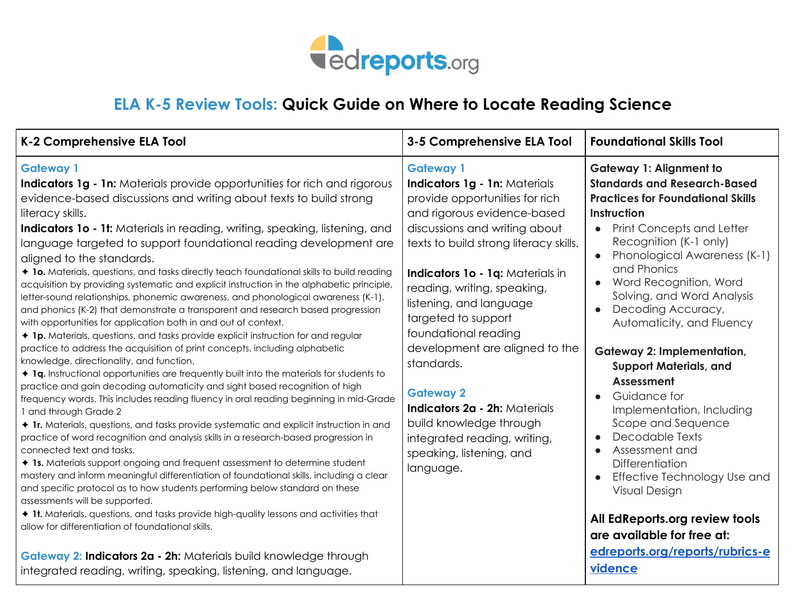

## **ELA K-5 Review Tools: Quick Guide on Where to Locate Reading Science**

| K-2 Comprehensive ELA Tool                                                                                                                                                                                                                                                                                                                                                                                                                                                                                                                                                                                                                                                                                                                                                                                                                                                                                                                                                                                                                                                                                                                                                                                                                                                                                                                                                                                                                                                                                                                                                                                                                                                                                                                                                                                                                                                                                                                                                                                                                                           | 3-5 Comprehensive ELA Tool                                                                                                                                                                                                                                                                                                                                                                                                                                                                                                                          | <b>Foundational Skills Tool</b>                                                                                                                                                                                                                                                                                                                                                                                                                                                                                                                                                                                                                                                                                                            |
|----------------------------------------------------------------------------------------------------------------------------------------------------------------------------------------------------------------------------------------------------------------------------------------------------------------------------------------------------------------------------------------------------------------------------------------------------------------------------------------------------------------------------------------------------------------------------------------------------------------------------------------------------------------------------------------------------------------------------------------------------------------------------------------------------------------------------------------------------------------------------------------------------------------------------------------------------------------------------------------------------------------------------------------------------------------------------------------------------------------------------------------------------------------------------------------------------------------------------------------------------------------------------------------------------------------------------------------------------------------------------------------------------------------------------------------------------------------------------------------------------------------------------------------------------------------------------------------------------------------------------------------------------------------------------------------------------------------------------------------------------------------------------------------------------------------------------------------------------------------------------------------------------------------------------------------------------------------------------------------------------------------------------------------------------------------------|-----------------------------------------------------------------------------------------------------------------------------------------------------------------------------------------------------------------------------------------------------------------------------------------------------------------------------------------------------------------------------------------------------------------------------------------------------------------------------------------------------------------------------------------------------|--------------------------------------------------------------------------------------------------------------------------------------------------------------------------------------------------------------------------------------------------------------------------------------------------------------------------------------------------------------------------------------------------------------------------------------------------------------------------------------------------------------------------------------------------------------------------------------------------------------------------------------------------------------------------------------------------------------------------------------------|
| <b>Gateway 1</b><br><b>Indicators 1g - 1n:</b> Materials provide opportunities for rich and rigorous<br>evidence-based discussions and writing about texts to build strong<br>literacy skills.<br><b>Indicators 1o - 1t:</b> Materials in reading, writing, speaking, listening, and<br>language targeted to support foundational reading development are<br>aligned to the standards.<br>◆ 1o. Materials, questions, and tasks directly teach foundational skills to build reading<br>acquisition by providing systematic and explicit instruction in the alphabetic principle,<br>letter-sound relationships, phonemic awareness, and phonological awareness (K-1),<br>and phonics (K-2) that demonstrate a transparent and research based progression<br>with opportunities for application both in and out of context.<br>◆ 1p. Materials, questions, and tasks provide explicit instruction for and regular<br>practice to address the acquisition of print concepts, including alphabetic<br>knowledge, directionality, and function.<br>◆ 1q. Instructional opportunities are frequently built into the materials for students to<br>practice and gain decoding automaticity and sight based recognition of high<br>frequency words. This includes reading fluency in oral reading beginning in mid-Grade<br>1 and through Grade 2<br>Ir. Materials, questions, and tasks provide systematic and explicit instruction in and<br>practice of word recognition and analysis skills in a research-based progression in<br>connected text and tasks.<br>♦ 1s. Materials support ongoing and frequent assessment to determine student<br>mastery and inform meaningful differentiation of foundational skills, including a clear<br>and specific protocol as to how students performing below standard on these<br>assessments will be supported.<br>It. Materials, questions, and tasks provide high-quality lessons and activities that<br>allow for differentiation of foundational skills.<br>Gateway 2: Indicators 2a - 2h: Materials build knowledge through | <b>Gateway 1</b><br>Indicators 1g - 1n: Materials<br>provide opportunities for rich<br>and rigorous evidence-based<br>discussions and writing about<br>texts to build strong literacy skills.<br>Indicators 1o - 1q: Materials in<br>reading, writing, speaking,<br>listening, and language<br>targeted to support<br>foundational reading<br>development are aligned to the<br>standards.<br><b>Gateway 2</b><br>Indicators 2a - 2h: Materials<br>build knowledge through<br>integrated reading, writing,<br>speaking, listening, and<br>language. | <b>Gateway 1: Alignment to</b><br><b>Standards and Research-Based</b><br><b>Practices for Foundational Skills</b><br>Instruction<br>• Print Concepts and Letter<br>Recognition (K-1 only)<br>Phonological Awareness (K-1)<br>and Phonics<br>Word Recognition, Word<br>Solving, and Word Analysis<br>Decoding Accuracy,<br>Automaticity, and Fluency<br><b>Gateway 2: Implementation,</b><br><b>Support Materials, and</b><br>Assessment<br>Guidance for<br>Implementation, Including<br>Scope and Sequence<br>Decodable Texts<br>$\bullet$<br>Assessment and<br>Differentiation<br>Effective Technology Use and<br><b>Visual Design</b><br>All EdReports.org review tools<br>are available for free at:<br>edreports.org/reports/rubrics-e |
| integrated reading, writing, speaking, listening, and language.                                                                                                                                                                                                                                                                                                                                                                                                                                                                                                                                                                                                                                                                                                                                                                                                                                                                                                                                                                                                                                                                                                                                                                                                                                                                                                                                                                                                                                                                                                                                                                                                                                                                                                                                                                                                                                                                                                                                                                                                      |                                                                                                                                                                                                                                                                                                                                                                                                                                                                                                                                                     | vidence                                                                                                                                                                                                                                                                                                                                                                                                                                                                                                                                                                                                                                                                                                                                    |